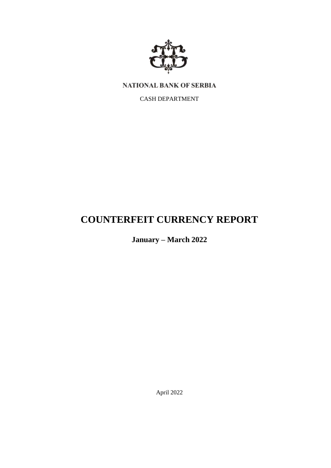

NATIONAL BANK OF SERBIA

CASH DEPARTMENT

# **COUNTERFEIT CURRENCY REPORT**

**January – March 2022**

April 2022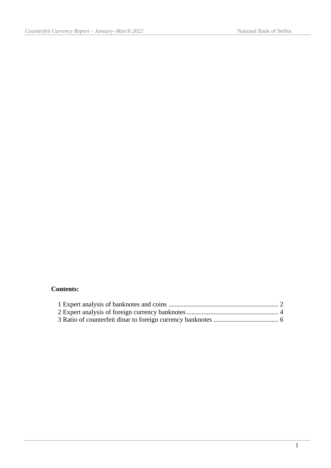## **Contents:**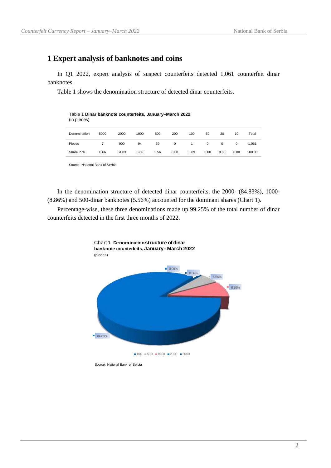## <span id="page-2-0"></span>**1 Expert analysis of banknotes and coins**

In Q1 2022, expert analysis of suspect counterfeits detected 1,061 counterfeit dinar banknotes.

Table 1 shows the denomination structure of detected dinar counterfeits.

Table 1 **Dinar banknote counterfeits, January–March 2022**  (in pieces)

| Denomination | 5000 | 2000  | 1000 | 500  | 200  | 100  | 50   | 20   | 10   | Total  |
|--------------|------|-------|------|------|------|------|------|------|------|--------|
| Pieces       |      | 900   | 94   | 59   | 0    |      |      | 0    | 0    | 1.061  |
| Share in %   | 0.66 | 84.83 | 8.86 | 5.56 | 0.00 | 0.09 | 0.00 | 0.00 | 0.00 | 100.00 |

Source: National Bank of Serbia

In the denomination structure of detected dinar counterfeits, the 2000- (84.83%), 1000- (8.86%) and 500-dinar banknotes (5.56%) accounted for the dominant shares (Chart 1).

Percentage-wise, these three denominations made up 99.25% of the total number of dinar counterfeits detected in the first three months of 2022.



Source: National Bank of Serbia.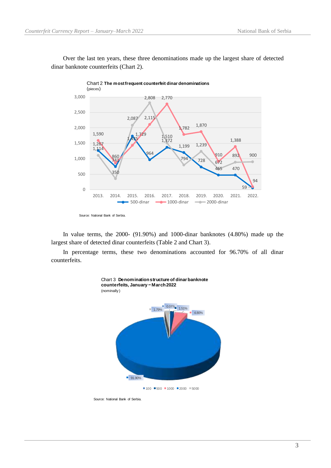Over the last ten years, these three denominations made up the largest share of detected dinar banknote counterfeits (Chart 2).



In value terms, the 2000- (91.90%) and 1000-dinar banknotes (4.80%) made up the largest share of detected dinar counterfeits (Table 2 and Chart 3).

In percentage terms, these two denominations accounted for 96.70% of all dinar counterfeits.



Source: National Bank of Serbia.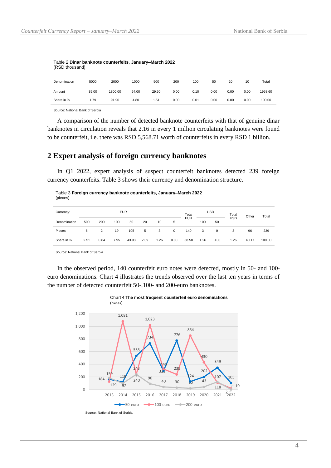| Denomination | 5000  | 2000    | 1000  | 500   | 200  | 100  | 50   | 20   | 10   | Total   |
|--------------|-------|---------|-------|-------|------|------|------|------|------|---------|
| Amount       | 35.00 | 1800.00 | 94.00 | 29.50 | 0.00 | 0.10 | 0.00 | 0.00 | 0.00 | 1958.60 |
| Share in %   | 1.79  | 91.90   | 4.80  | 1.51  | 0.00 | 0.01 | 0.00 | 0.00 | 0.00 | 100.00  |

|                | Table 2 Dinar banknote counterfeits, January–March 2022 |  |
|----------------|---------------------------------------------------------|--|
| (RSD thousand) |                                                         |  |

Source: National Bank of Serbia

A comparison of the number of detected banknote counterfeits with that of genuine dinar banknotes in circulation reveals that 2.16 in every 1 million circulating banknotes were found to be counterfeit, i.e. there was RSD 5,568.71 worth of counterfeits in every RSD 1 billion.

#### <span id="page-4-0"></span>**2 Expert analysis of foreign currency banknotes**

In Q1 2022, expert analysis of suspect counterfeit banknotes detected 239 foreign currency counterfeits. Table 3 shows their currency and denomination structure.

| (pieces)     |      |                |            |       |      |      |             |            |            |             |            |       |        |
|--------------|------|----------------|------------|-------|------|------|-------------|------------|------------|-------------|------------|-------|--------|
| Currency:    |      |                | <b>EUR</b> |       |      |      |             | Total      | <b>USD</b> |             | Total      | Other | Total  |
| Denomination | 500  | 200            | 100        | 50    | 20   | 10   | 5           | <b>EUR</b> | 100        | 50          | <b>USD</b> |       |        |
| Pieces       | 6    | $\overline{2}$ | 19         | 105   | 5    | 3    | $\mathbf 0$ | 140        | 3          | $\mathbf 0$ | 3          | 96    | 239    |
| Share in %   | 2.51 | 0.84           | 7.95       | 43.93 | 2.09 | 1.26 | 0.00        | 58.58      | 1.26       | 0.00        | 1.26       | 40.17 | 100.00 |

Table 3 **Foreign currency banknote counterfeits, January–March 2022** 

Source: National Bank of Serbia

In the observed period, 140 counterfeit euro notes were detected, mostly in 50- and 100 euro denominations. Chart 4 illustrates the trends observed over the last ten years in terms of the number of detected counterfeit 50-,100- and 200-euro banknotes.



Chart 4 **The most frequent counterfeit euro denominations**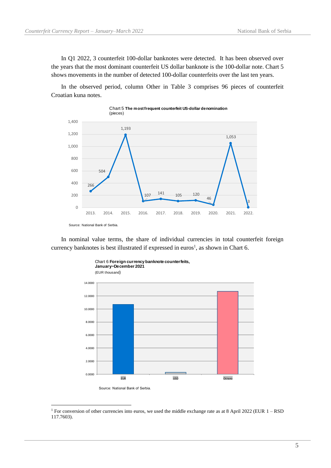In Q1 2022, 3 counterfeit 100-dollar banknotes were detected. It has been observed over the years that the most dominant counterfeit US dollar banknote is the 100-dollar note. Chart 5 shows movements in the number of detected 100-dollar counterfeits over the last ten years.

In the observed period, column Other in Table 3 comprises 96 pieces of counterfeit Croatian kuna notes.



In nominal value terms, the share of individual currencies in total counterfeit foreign currency banknotes is best illustrated if expressed in euros<sup>1</sup>, as shown in Chart 6.



<sup>&</sup>lt;sup>1</sup> For conversion of other currencies into euros, we used the middle exchange rate as at 8 April 2022 (EUR 1 – RSD 117.7603).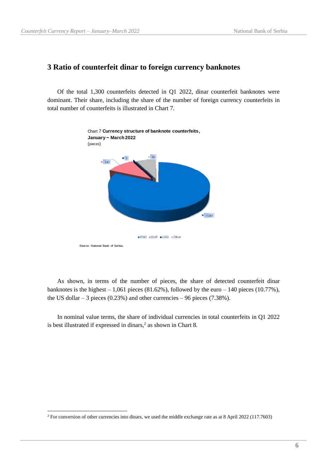#### <span id="page-6-0"></span>**3 Ratio of counterfeit dinar to foreign currency banknotes**

Of the total 1,300 counterfeits detected in Q1 2022, dinar counterfeit banknotes were dominant. Their share, including the share of the number of foreign currency counterfeits in total number of counterfeits is illustrated in Chart 7.



As shown, in terms of the number of pieces, the share of detected counterfeit dinar banknotes is the highest  $-1,061$  pieces (81.62%), followed by the euro  $-140$  pieces (10.77%), the US dollar  $-3$  pieces (0.23%) and other currencies  $-96$  pieces (7.38%).

In nominal value terms, the share of individual currencies in total counterfeits in Q1 2022 is best illustrated if expressed in dinars,<sup>2</sup> as shown in Chart 8.

<sup>&</sup>lt;sup>2</sup> For conversion of other currencies into dinars, we used the middle exchange rate as at 8 April 2022 (117.7603)